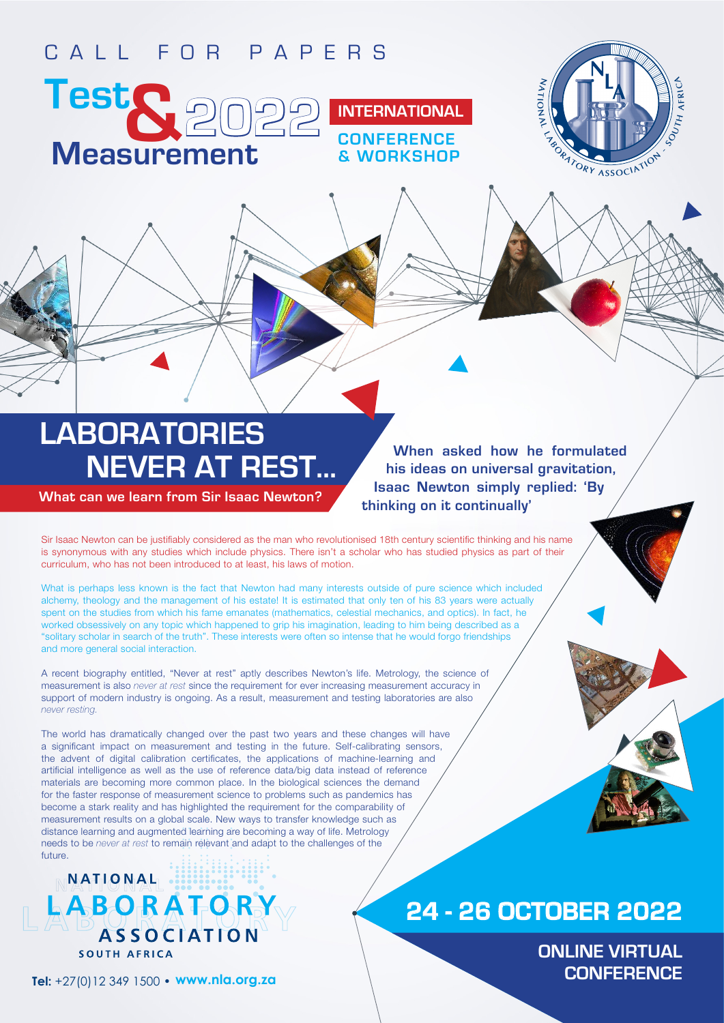## CALL FOR PAPERS





# **NEVER AT REST... LABORATORIES**

**What can we learn from Sir Isaac Newton?**

**When asked how he formulated his ideas on universal gravitation, Isaac Newton simply replied: 'By thinking on it continually'**

**CONFERENCE & WORKSHOP** 

Sir Isaac Newton can be justifiably considered as the man who revolutionised 18th century scientific thinking and his name is synonymous with any studies which include physics. There isn't a scholar who has studied physics as part of their curriculum, who has not been introduced to at least, his laws of motion.

What is perhaps less known is the fact that Newton had many interests outside of pure science which included alchemy, theology and the management of his estate! It is estimated that only ten of his 83 years were actually spent on the studies from which his fame emanates (mathematics, celestial mechanics, and optics). In fact, he worked obsessively on any topic which happened to grip his imagination, leading to him being described as a "solitary scholar in search of the truth". These interests were often so intense that he would forgo friendships and more general social interaction.

A recent biography entitled, "Never at rest" aptly describes Newton's life. Metrology, the science of measurement is also *never at rest* since the requirement for ever increasing measurement accuracy in support of modern industry is ongoing. As a result, measurement and testing laboratories are also *never resting.*

The world has dramatically changed over the past two years and these changes will have a significant impact on measurement and testing in the future. Self-calibrating sensors, the advent of digital calibration certificates, the applications of machine-learning and artificial intelligence as well as the use of reference data/big data instead of reference materials are becoming more common place. In the biological sciences the demand for the faster response of measurement science to problems such as pandemics has become a stark reality and has highlighted the requirement for the comparability of measurement results on a global scale. New ways to transfer knowledge such as distance learning and augmented learning are becoming a way of life. Metrology needs to be *never at rest* to remain relevant and adapt to the challenges of the future.

## **MATIONAL** LABORATORY **BASSOCIATION** SOUTH AFRICA

**Tel:** +27(0)12 349 1500 • **www.nla.org.za**

## **24 - 26 OCTOBER 2022**

**ONLINE VIRTUAL CONFERENCE**